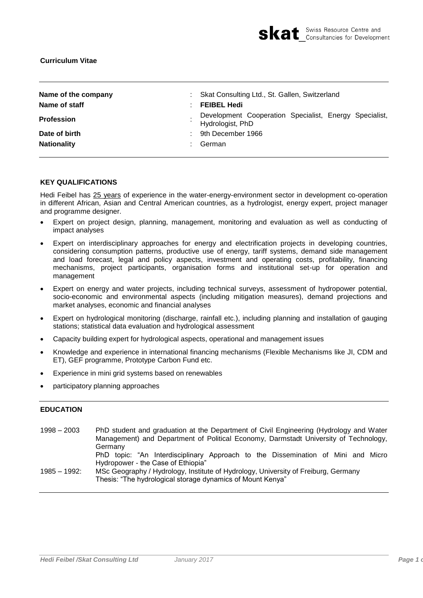

| Name of the company<br>Name of staff      | : Skat Consulting Ltd., St. Gallen, Switzerland<br><b>FEIBEL Hedi</b>      |  |  |
|-------------------------------------------|----------------------------------------------------------------------------|--|--|
| <b>Profession</b>                         | Development Cooperation Specialist, Energy Specialist,<br>Hydrologist, PhD |  |  |
| Date of birth<br>÷.<br><b>Nationality</b> | 9th December 1966<br>German                                                |  |  |

### **KEY QUALIFICATIONS**

Hedi Feibel has 25 years of experience in the water-energy-environment sector in development co-operation in different African, Asian and Central American countries, as a hydrologist, energy expert, project manager and programme designer.

- Expert on project design, planning, management, monitoring and evaluation as well as conducting of impact analyses
- Expert on interdisciplinary approaches for energy and electrification projects in developing countries, considering consumption patterns, productive use of energy, tariff systems, demand side management and load forecast, legal and policy aspects, investment and operating costs, profitability, financing mechanisms, project participants, organisation forms and institutional set-up for operation and management
- Expert on energy and water projects, including technical surveys, assessment of hydropower potential, socio-economic and environmental aspects (including mitigation measures), demand projections and market analyses, economic and financial analyses
- Expert on hydrological monitoring (discharge, rainfall etc.), including planning and installation of gauging stations; statistical data evaluation and hydrological assessment
- Capacity building expert for hydrological aspects, operational and management issues
- Knowledge and experience in international financing mechanisms (Flexible Mechanisms like JI, CDM and ET), GEF programme, Prototype Carbon Fund etc.
- Experience in mini grid systems based on renewables
- participatory planning approaches

# **EDUCATION**

| $1998 - 2003$   | PhD student and graduation at the Department of Civil Engineering (Hydrology and Water<br>Management) and Department of Political Economy, Darmstadt University of Technology,<br>Germany |  |  |  |  |
|-----------------|-------------------------------------------------------------------------------------------------------------------------------------------------------------------------------------------|--|--|--|--|
|                 | PhD topic: "An Interdisciplinary Approach to the Dissemination of Mini and Micro<br>Hydropower - the Case of Ethiopia"                                                                    |  |  |  |  |
| $1985 - 1992$ : | MSc Geography / Hydrology, Institute of Hydrology, University of Freiburg, Germany<br>Thesis: "The hydrological storage dynamics of Mount Kenya"                                          |  |  |  |  |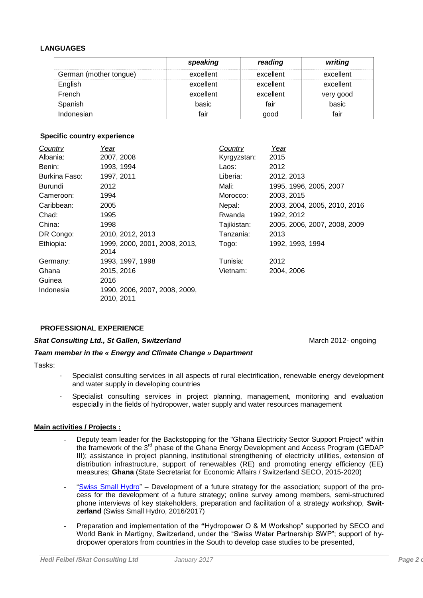## **LANGUAGES**

|                        | speaking  | reading   | writing   |
|------------------------|-----------|-----------|-----------|
| German (mother tongue) | excellent | excellent | excellent |
| English                | excellent | excellent | excellent |
| French                 | excellent | excellent | very good |
| Spanish                | basic     | fair      | basic     |
| Indonesian             | fair      | good      | fair      |

# **Specific country experience**

| Country       | Year                                        | Country     | Year                         |
|---------------|---------------------------------------------|-------------|------------------------------|
| Albania:      | 2007, 2008                                  | Kyrgyzstan: | 2015                         |
| Benin:        | 1993, 1994                                  | Laos:       | 2012                         |
| Burkina Faso: | 1997, 2011                                  | Liberia:    | 2012, 2013                   |
| Burundi       | 2012                                        | Mali:       | 1995, 1996, 2005, 2007       |
| Cameroon:     | 1994                                        | Morocco:    | 2003, 2015                   |
| Caribbean:    | 2005                                        | Nepal:      | 2003, 2004, 2005, 2010, 2016 |
| Chad:         | 1995                                        | Rwanda      | 1992, 2012                   |
| China:        | 1998                                        | Tajikistan: | 2005, 2006, 2007, 2008, 2009 |
| DR Congo:     | 2010, 2012, 2013                            | Tanzania:   | 2013                         |
| Ethiopia:     | 1999, 2000, 2001, 2008, 2013,<br>2014       | Togo:       | 1992, 1993, 1994             |
| Germany:      | 1993, 1997, 1998                            | Tunisia:    | 2012                         |
| Ghana         | 2015, 2016                                  | Vietnam:    | 2004, 2006                   |
| Guinea        | 2016                                        |             |                              |
| Indonesia     | 1990, 2006, 2007, 2008, 2009,<br>2010, 2011 |             |                              |

# **PROFESSIONAL EXPERIENCE**

#### *Skat Consulting Ltd., St Gallen, Switzerland*

# *Team member in the « Energy and Climate Change » Department*

#### Tasks:

- Specialist consulting services in all aspects of rural electrification, renewable energy development and water supply in developing countries
- Specialist consulting services in project planning, management, monitoring and evaluation especially in the fields of hydropower, water supply and water resources management

# **Main activities / Projects :**

- Deputy team leader for the Backstopping for the "Ghana Electricity Sector Support Project" within the framework of the 3<sup>rd</sup> phase of the Ghana Energy Development and Access Program (GEDAP III); assistance in project planning, institutional strengthening of electricity utilities, extension of distribution infrastructure, support of renewables (RE) and promoting energy efficiency (EE) measures; **Ghana** (State Secretariat for Economic Affairs / Switzerland SECO, 2015-2020)
- ["Swiss Small Hydro"](http://swissmallhydro.ch/de/home/) Development of a future strategy for the association; support of the process for the development of a future strategy; online survey among members, semi-structured phone interviews of key stakeholders, preparation and facilitation of a strategy workshop, **Switzerland** (Swiss Small Hydro, 2016/2017)
- Preparation and implementation of the **"**Hydropower O & M Workshop" supported by SECO and World Bank in Martigny, Switzerland, under the "Swiss Water Partnership SWP"; support of hydropower operators from countries in the South to develop case studies to be presented,

March 2012- ongoing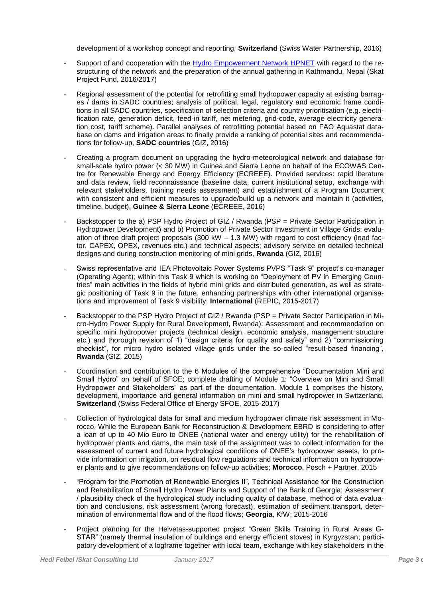development of a workshop concept and reporting, **Switzerland** (Swiss Water Partnership, 2016)

- Support of and cooperation with the [Hydro Empowerment Network HPNET](http://www.hpnet.org/) with regard to the restructuring of the network and the preparation of the annual gathering in Kathmandu, Nepal (Skat Project Fund, 2016/2017)
- Regional assessment of the potential for retrofitting small hydropower capacity at existing barrages / dams in SADC countries; analysis of political, legal, regulatory and economic frame conditions in all SADC countries, specification of selection criteria and country prioritisation (e.g. electrification rate, generation deficit, feed-in tariff, net metering, grid-code, average electricity generation cost, tariff scheme). Parallel analyses of retrofitting potential based on FAO Aquastat database on dams and irrigation areas to finally provide a ranking of potential sites and recommendations for follow-up, **SADC countries** (GIZ, 2016)
- Creating a program document on upgrading the hydro-meteorological network and database for small-scale hydro power (< 30 MW) in Guinea and Sierra Leone on behalf of the ECOWAS Centre for Renewable Energy and Energy Efficiency (ECREEE). Provided services: rapid literature and data review, field reconnaissance (baseline data, current institutional setup, exchange with relevant stakeholders, training needs assessment) and establishment of a Program Document with consistent and efficient measures to upgrade/build up a network and maintain it (activities, timeline, budget), **Guinee & Sierra Leone** (ECREEE, 2016)
- Backstopper to the a) PSP Hydro Project of GIZ / Rwanda (PSP = Private Sector Participation in Hydropower Development) and b) Promotion of Private Sector Investment in Village Grids; evaluation of three draft project proposals  $(300 \text{ kW} - 1.3 \text{ MW})$  with regard to cost efficiency (load factor, CAPEX, OPEX, revenues etc.) and technical aspects; advisory service on detailed technical designs and during construction monitoring of mini grids, **Rwanda** (GIZ, 2016)
- Swiss representative and IEA Photovoltaic Power Systems PVPS "Task 9" project's co-manager (Operating Agent); within this Task 9 which is working on "Deployment of PV in Emerging Countries" main activities in the fields of hybrid mini grids and distributed generation, as well as strategic positioning of Task 9 in the future, enhancing partnerships with other international organisations and improvement of Task 9 visibility; **International** (REPIC, 2015-2017)
- Backstopper to the PSP Hydro Project of GIZ / Rwanda (PSP = Private Sector Participation in Micro-Hydro Power Supply for Rural Development, Rwanda): Assessment and recommendation on specific mini hydropower projects (technical design, economic analysis, management structure etc.) and thorough revision of 1) "design criteria for quality and safety" and 2) "commissioning checklist", for micro hydro isolated village grids under the so-called "result-based financing", **Rwanda** (GIZ, 2015)
- Coordination and contribution to the 6 Modules of the comprehensive "Documentation Mini and Small Hydro" on behalf of SFOE; complete drafting of Module 1: "Overview on Mini and Small Hydropower and Stakeholders" as part of the documentation. Module 1 comprises the history, development, importance and general information on mini and small hydropower in Switzerland, **Switzerland** (Swiss Federal Office of Energy SFOE, 2015-2017)
- Collection of hydrological data for small and medium hydropower climate risk assessment in Morocco. While the European Bank for Reconstruction & Development EBRD is considering to offer a loan of up to 40 Mio Euro to ONEE (national water and energy utility) for the rehabilitation of hydropower plants and dams, the main task of the assignment was to collect information for the assessment of current and future hydrological conditions of ONEE's hydropower assets, to provide information on irrigation, on residual flow regulations and technical information on hydropower plants and to give recommendations on follow-up activities; **Morocco**, Posch + Partner, 2015
- "Program for the Promotion of Renewable Energies II", Technical Assistance for the Construction and Rehabilitation of Small Hydro Power Plants and Support of the Bank of Georgia; Assessment / plausibility check of the hydrological study including quality of database, method of data evaluation and conclusions, risk assessment (wrong forecast), estimation of sediment transport, determination of environmental flow and of the flood flows; **Georgia**, KfW; 2015-2016
- Project planning for the Helvetas-supported project "Green Skills Training in Rural Areas G-STAR" (namely thermal insulation of buildings and energy efficient stoves) in Kyrgyzstan; participatory development of a logframe together with local team, exchange with key stakeholders in the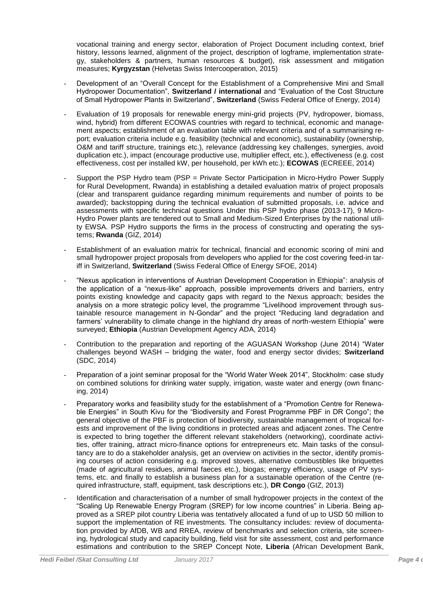vocational training and energy sector, elaboration of Project Document including context, brief history, lessons learned, alignment of the project, description of logframe, implementation strategy, stakeholders & partners, human resources & budget), risk assessment and mitigation measures; **Kyrgyzstan** (Helvetas Swiss Intercooperation, 2015)

- Development of an "Overall Concept for the Establishment of a Comprehensive Mini and Small Hydropower Documentation", **Switzerland / international** and "Evaluation of the Cost Structure of Small Hydropower Plants in Switzerland", **Switzerland** (Swiss Federal Office of Energy, 2014)
- Evaluation of 19 proposals for renewable energy mini-grid projects (PV, hydropower, biomass, wind, hybrid) from different ECOWAS countries with regard to technical, economic and management aspects; establishment of an evaluation table with relevant criteria and of a summarising report; evaluation criteria include e.g. feasibility (technical and economic), sustainability (ownership, O&M and tariff structure, trainings etc.), relevance (addressing key challenges, synergies, avoid duplication etc.), impact (encourage productive use, multiplier effect, etc.), effectiveness (e.g. cost effectiveness, cost per installed kW, per household, per kWh etc.); **ECOWAS** (ECREEE, 2014)
- Support the PSP Hydro team (PSP = Private Sector Participation in Micro-Hydro Power Supply for Rural Development, Rwanda) in establishing a detailed evaluation matrix of project proposals (clear and transparent guidance regarding minimum requirements and number of points to be awarded); backstopping during the technical evaluation of submitted proposals, i.e. advice and assessments with specific technical questions Under this PSP hydro phase (2013-17), 9 Micro-Hydro Power plants are tendered out to Small and Medium-Sized Enterprises by the national utility EWSA. PSP Hydro supports the firms in the process of constructing and operating the systems; **Rwanda** (GIZ, 2014)
- Establishment of an evaluation matrix for technical, financial and economic scoring of mini and small hydropower project proposals from developers who applied for the cost covering feed-in tariff in Switzerland, **Switzerland** (Swiss Federal Office of Energy SFOE, 2014)
- "Nexus application in interventions of Austrian Development Cooperation in Ethiopia": analysis of the application of a "nexus-like" approach, possible improvements drivers and barriers, entry points existing knowledge and capacity gaps with regard to the Nexus approach; besides the analysis on a more strategic policy level, the programme "Livelihood improvement through sustainable resource management in N-Gondar" and the project "Reducing land degradation and farmers' vulnerability to climate change in the highland dry areas of north-western Ethiopia" were surveyed; **Ethiopia** (Austrian Development Agency ADA, 2014)
- Contribution to the preparation and reporting of the AGUASAN Workshop (June 2014) "Water challenges beyond WASH – bridging the water, food and energy sector divides; **Switzerland** (SDC, 2014)
- Preparation of a joint seminar proposal for the "World Water Week 2014", Stockholm: case study on combined solutions for drinking water supply, irrigation, waste water and energy (own financing, 2014)
- Preparatory works and feasibility study for the establishment of a "Promotion Centre for Renewable Energies" in South Kivu for the "Biodiversity and Forest Programme PBF in DR Congo"; the general objective of the PBF is protection of biodiversity, sustainable management of tropical forests and improvement of the living conditions in protected areas and adjacent zones. The Centre is expected to bring together the different relevant stakeholders (networking), coordinate activities, offer training, attract micro-finance options for entrepreneurs etc. Main tasks of the consultancy are to do a stakeholder analysis, get an overview on activities in the sector, identify promising courses of action considering e.g. improved stoves, alternative combustibles like briquettes (made of agricultural residues, animal faeces etc.), biogas; energy efficiency, usage of PV systems, etc. and finally to establish a business plan for a sustainable operation of the Centre (required infrastructure, staff, equipment, task descriptions etc.), **DR Congo** (GIZ, 2013)
- Identification and characterisation of a number of small hydropower projects in the context of the "Scaling Up Renewable Energy Program (SREP) for low income countries" in Liberia. Being approved as a SREP pilot country Liberia was tentatively allocated a fund of up to USD 50 million to support the implementation of RE investments. The consultancy includes: review of documentation provided by AfDB, WB and RREA, review of benchmarks and selection criteria, site screening, hydrological study and capacity building, field visit for site assessment, cost and performance estimations and contribution to the SREP Concept Note, **Liberia** (African Development Bank,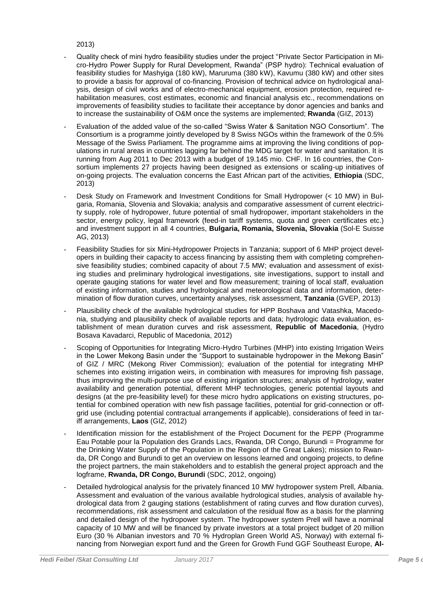2013)

- Quality check of mini hydro feasibility studies under the project "Private Sector Participation in Micro-Hydro Power Supply for Rural Development, Rwanda" (PSP hydro): Technical evaluation of feasibility studies for Mashyiga (180 kW), Maruruma (380 kW), Kavumu (380 kW) and other sites to provide a basis for approval of co-financing. Provision of technical advice on hydrological analysis, design of civil works and of electro-mechanical equipment, erosion protection, required rehabilitation measures, cost estimates, economic and financial analysis etc., recommendations on improvements of feasibility studies to facilitate their acceptance by donor agencies and banks and to increase the sustainability of O&M once the systems are implemented; **Rwanda** (GIZ, 2013)
- Evaluation of the added value of the so-called "Swiss Water & Sanitation NGO Consortium". The Consortium is a programme jointly developed by 8 Swiss NGOs within the framework of the 0.5% Message of the Swiss Parliament. The programme aims at improving the living conditions of populations in rural areas in countries lagging far behind the MDG target for water and sanitation. It is running from Aug 2011 to Dec 2013 with a budget of 19.145 mio. CHF. In 16 countries, the Consortium implements 27 projects having been designed as extensions or scaling-up initiatives of on-going projects. The evaluation concerns the East African part of the activities, **Ethiopia** (SDC, 2013)
- Desk Study on Framework and Investment Conditions for Small Hydropower (< 10 MW) in Bulgaria, Romania, Slovenia and Slovakia; analysis and comparative assessment of current electricity supply, role of hydropower, future potential of small hydropower, important stakeholders in the sector, energy policy, legal framework (feed-in tariff systems, quota and green certificates etc.) and investment support in all 4 countries, **Bulgaria, Romania, Slovenia, Slovakia** (Sol-E Suisse AG, 2013)
- Feasibility Studies for six Mini-Hydropower Projects in Tanzania; support of 6 MHP project developers in building their capacity to access financing by assisting them with completing comprehensive feasibility studies; combined capacity of about 7.5 MW; evaluation and assessment of existing studies and preliminary hydrological investigations, site investigations, support to install and operate gauging stations for water level and flow measurement; training of local staff, evaluation of existing information, studies and hydrological and meteorological data and information, determination of flow duration curves, uncertainty analyses, risk assessment, **Tanzania** (GVEP, 2013)
- Plausibility check of the available hydrological studies for HPP Boshava and Vatashka, Macedonia, studying and plausibility check of available reports and data; hydrologic data evaluation, establishment of mean duration curves and risk assessment, **Republic of Macedonia**, (Hydro Bosava Kavadarci, Republic of Macedonia, 2012)
- Scoping of Opportunities for Integrating Micro-Hydro Turbines (MHP) into existing Irrigation Weirs in the Lower Mekong Basin under the "Support to sustainable hydropower in the Mekong Basin" of GIZ / MRC (Mekong River Commission); evaluation of the potential for integrating MHP schemes into existing irrigation weirs, in combination with measures for improving fish passage, thus improving the multi-purpose use of existing irrigation structures; analysis of hydrology, water availability and generation potential, different MHP technologies, generic potential layouts and designs (at the pre-feasibility level) for these micro hydro applications on existing structures, potential for combined operation with new fish passage facilities, potential for grid-connection or offgrid use (including potential contractual arrangements if applicable), considerations of feed in tariff arrangements, **Laos** (GIZ, 2012)
- Identification mission for the establishment of the Project Document for the PEPP (Programme Eau Potable pour la Population des Grands Lacs, Rwanda, DR Congo, Burundi = Programme for the Drinking Water Supply of the Population in the Region of the Great Lakes); mission to Rwanda, DR Congo and Burundi to get an overview on lessons learned and ongoing projects, to define the project partners, the main stakeholders and to establish the general project approach and the logframe, **Rwanda, DR Congo, Burundi** (SDC, 2012, ongoing)
- Detailed hydrological analysis for the privately financed 10 MW hydropower system Prell. Albania. Assessment and evaluation of the various available hydrological studies, analysis of available hydrological data from 2 gauging stations (establishment of rating curves and flow duration curves), recommendations, risk assessment and calculation of the residual flow as a basis for the planning and detailed design of the hydropower system. The hydropower system Prell will have a nominal capacity of 10 MW and will be financed by private investors at a total project budget of 20 million Euro (30 % Albanian investors and 70 % Hydroplan Green World AS, Norway) with external financing from Norwegian export fund and the Green for Growth Fund GGF Southeast Europe, **Al-**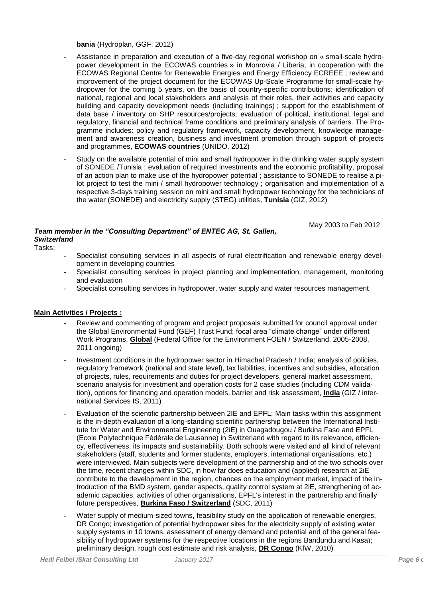**bania** (Hydroplan, GGF, 2012)

- Assistance in preparation and execution of a five-day regional workshop on « small-scale hydropower development in the ECOWAS countries » in Monrovia / Liberia, in cooperation with the ECOWAS Regional Centre for Renewable Energies and Energy Efficiency ECREEE ; review and improvement of the project document for the ECOWAS Up-Scale Programme for small-scale hydropower for the coming 5 years, on the basis of country-specific contributions; identification of national, regional and local stakeholders and analysis of their roles, their activities and capacity building and capacity development needs (including trainings) ; support for the establishment of data base / inventory on SHP resources/projects; evaluation of political, institutional, legal and regulatory, financial and technical frame conditions and preliminary analysis of barriers. The Programme includes: policy and regulatory framework, capacity development, knowledge management and awareness creation, business and investment promotion through support of projects and programmes, **ECOWAS countries** (UNIDO, 2012)
- Study on the available potential of mini and small hydropower in the drinking water supply system of SONEDE /Tunisia ; evaluation of required investments and the economic profitability, proposal of an action plan to make use of the hydropower potential ; assistance to SONEDE to realise a pilot project to test the mini / small hydropower technology ; organisation and implementation of a respective 3-days training session on mini and small hydropower technology for the technicians of the water (SONEDE) and electricity supply (STEG) utilities, **Tunisia** (GIZ, 2012)

# *Team member in the "Consulting Department" of ENTEC AG, St. Gallen, Switzerland*

May 2003 to Feb 2012

- Tasks:
- Specialist consulting services in all aspects of rural electrification and renewable energy development in developing countries
- Specialist consulting services in project planning and implementation, management, monitoring and evaluation
- Specialist consulting services in hydropower, water supply and water resources management

# **Main Activities / Projects :**

- Review and commenting of program and project proposals submitted for council approval under the Global Environmental Fund (GEF) Trust Fund; focal area "climate change" under different Work Programs, **Global** (Federal Office for the Environment FOEN / Switzerland, 2005-2008, 2011 ongoing)
- Investment conditions in the hydropower sector in Himachal Pradesh / India; analysis of policies, regulatory framework (national and state level), tax liabilities, incentives and subsidies, allocation of projects, rules, requirements and duties for project developers, general market assessment, scenario analysis for investment and operation costs for 2 case studies (including CDM validation), options for financing and operation models, barrier and risk assessment, **India** (GIZ / international Services IS, 2011)
- Evaluation of the scientific partnership between 2IE and EPFL; Main tasks within this assignment is the in-depth evaluation of a long-standing scientific partnership between the International Institute for Water and Environmental Engineering (2iE) in Ouagadougou / Burkina Faso and EPFL (Ecole Polytechnique Fédérale de Lausanne) in Switzerland with regard to its relevance, efficiency, effectiveness, its impacts and sustainability. Both schools were visited and all kind of relevant stakeholders (staff, students and former students, employers, international organisations, etc.) were interviewed. Main subjects were development of the partnership and of the two schools over the time, recent changes within SDC, in how far does education and (applied) research at 2iE contribute to the development in the region, chances on the employment market, impact of the introduction of the BMD system, gender aspects, quality control system at 2iE, strengthening of academic capacities, activities of other organisations, EPFL's interest in the partnership and finally future perspectives, **Burkina Faso / Switzerland** (SDC, 2011)
- Water supply of medium-sized towns, feasibility study on the application of renewable energies, DR Congo; investigation of potential hydropower sites for the electricity supply of existing water supply systems in 10 towns, assessment of energy demand and potential and of the general feasibility of hydropower systems for the respective locations in the regions Bandundu and Kasaï; preliminary design, rough cost estimate and risk analysis, **DR Congo** (KfW, 2010)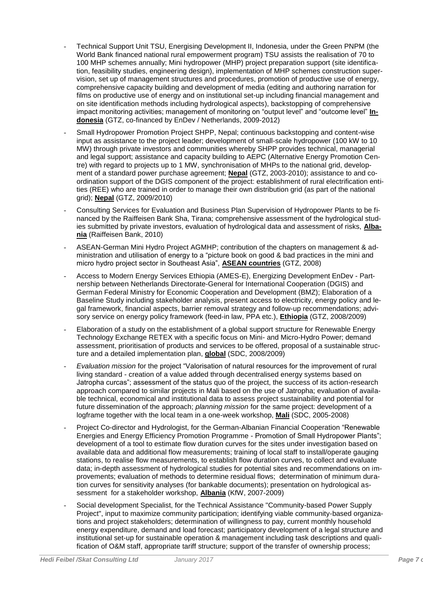- Technical Support Unit TSU, Energising Development II, Indonesia, under the Green PNPM (the World Bank financed national rural empowerment program) TSU assists the realisation of 70 to 100 MHP schemes annually; Mini hydropower (MHP) project preparation support (site identification, feasibility studies, engineering design), implementation of MHP schemes construction supervision, set up of management structures and procedures, promotion of productive use of energy, comprehensive capacity building and development of media (editing and authoring narration for films on productive use of energy and on institutional set-up including financial management and on site identification methods including hydrological aspects), backstopping of comprehensive impact monitoring activities; management of monitoring on "output level" and "outcome level" **Indonesia** (GTZ, co-financed by EnDev / Netherlands, 2009-2012)
- Small Hydropower Promotion Project SHPP, Nepal; continuous backstopping and content-wise input as assistance to the project leader; development of small-scale hydropower (100 kW to 10 MW) through private investors and communities whereby SHPP provides technical, managerial and legal support; assistance and capacity building to AEPC (Alternative Energy Promotion Centre) with regard to projects up to 1 MW, synchronisation of MHPs to the national grid, development of a standard power purchase agreement; **Nepal** (GTZ, 2003-2010); assistance to and coordination support of the DGIS component of the project: establishment of rural electrification entities (REE) who are trained in order to manage their own distribution grid (as part of the national grid); **Nepal** (GTZ, 2009/2010)
- Consulting Services for Evaluation and Business Plan Supervision of Hydropower Plants to be financed by the Raiffeisen Bank Sha, Tirana; comprehensive assessment of the hydrological studies submitted by private investors, evaluation of hydrological data and assessment of risks, **Albania** (Raiffeisen Bank, 2010)
- ASEAN-German Mini Hydro Project AGMHP; contribution of the chapters on management & administration and utilisation of energy to a "picture book on good & bad practices in the mini and micro hydro project sector in Southeast Asia", **ASEAN countries** (GTZ, 2008)
- Access to Modern Energy Services Ethiopia (AMES-E), Energizing Development EnDev Partnership between Netherlands Directorate-General for International Cooperation (DGIS) and German Federal Ministry for Economic Cooperation and Development (BMZ); Elaboration of a Baseline Study including stakeholder analysis, present access to electricity, energy policy and legal framework, financial aspects, barrier removal strategy and follow-up recommendations; advisory service on energy policy framework (feed-in law, PPA etc.), **Ethiopia** (GTZ, 2008/2009)
- Elaboration of a study on the establishment of a global support structure for Renewable Energy Technology Exchange RETEX with a specific focus on Mini- and Micro-Hydro Power; demand assessment, prioritisation of products and services to be offered, proposal of a sustainable structure and a detailed implementation plan, **global** (SDC, 2008/2009)
- *Evaluation mission* for the project "Valorisation of natural resources for the improvement of rural living standard - creation of a value added through decentralised energy systems based on Jatropha curcas"; assessment of the status quo of the project, the success of its action-research approach compared to similar projects in Mali based on the use of Jatropha; evaluation of available technical, economical and institutional data to assess project sustainability and potential for future dissemination of the approach; *planning mission* for the same project: development of a logframe together with the local team in a one-week workshop, **Mali** (SDC, 2005-2008)
- Project Co-director and Hydrologist, for the German-Albanian Financial Cooperation "Renewable Energies and Energy Efficiency Promotion Programme - Promotion of Small Hydropower Plants"; development of a tool to estimate flow duration curves for the sites under investigation based on available data and additional flow measurements; training of local staff to install/operate gauging stations, to realise flow measurements, to establish flow duration curves, to collect and evaluate data; in-depth assessment of hydrological studies for potential sites and recommendations on improvements; evaluation of methods to determine residual flows; determination of minimum duration curves for sensitivity analyses (for bankable documents); presentation on hydrological assessment for a stakeholder workshop, **Albania** (KfW, 2007-2009)
- Social development Specialist, for the Technical Assistance "Community-based Power Supply Project", input to maximize community participation; identifying viable community-based organizations and project stakeholders; determination of willingness to pay, current monthly household energy expenditure, demand and load forecast; participatory development of a legal structure and institutional set-up for sustainable operation & management including task descriptions and qualification of O&M staff, appropriate tariff structure; support of the transfer of ownership process;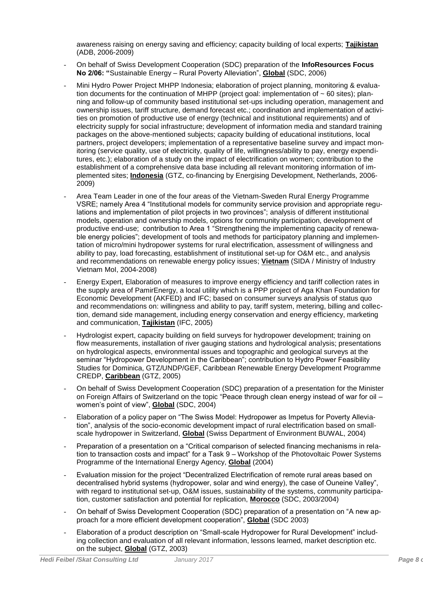awareness raising on energy saving and efficiency; capacity building of local experts; **Tajikistan** (ADB, 2006-2009)

- On behalf of Swiss Development Cooperation (SDC) preparation of the **InfoResources Focus No 2/06: "**Sustainable Energy – Rural Poverty Alleviation", **Global** (SDC, 2006)
- Mini Hydro Power Project MHPP Indonesia; elaboration of project planning, monitoring & evaluation documents for the continuation of MHPP (project goal: implementation of  $\sim 60$  sites); planning and follow-up of community based institutional set-ups including operation, management and ownership issues, tariff structure, demand forecast etc.; coordination and implementation of activities on promotion of productive use of energy (technical and institutional requirements) and of electricity supply for social infrastructure; development of information media and standard training packages on the above-mentioned subjects; capacity building of educational institutions, local partners, project developers; implementation of a representative baseline survey and impact monitoring (service quality, use of electricity, quality of life, willingness/ability to pay, energy expenditures, etc.); elaboration of a study on the impact of electrification on women; contribution to the establishment of a comprehensive data base including all relevant monitoring information of implemented sites; **Indonesia** (GTZ, co-financing by Energising Development, Netherlands, 2006- 2009)
- Area Team Leader in one of the four areas of the Vietnam-Sweden Rural Energy Programme VSRE; namely Area 4 "Institutional models for community service provision and appropriate regulations and implementation of pilot projects in two provinces"; analysis of different institutional models, operation and ownership models, options for community participation, development of productive end-use; contribution to Area 1 "Strengthening the implementing capacity of renewable energy policies"; development of tools and methods for participatory planning and implementation of micro/mini hydropower systems for rural electrification, assessment of willingness and ability to pay, load forecasting, establishment of institutional set-up for O&M etc., and analysis and recommendations on renewable energy policy issues; **Vietnam** (SIDA / Ministry of Industry Vietnam MoI, 2004-2008)
- Energy Expert, Elaboration of measures to improve energy efficiency and tariff collection rates in the supply area of PamirEnergy, a local utility which is a PPP project of Aga Khan Foundation for Economic Development (AKFED) and IFC; based on consumer surveys analysis of status quo and recommendations on: willingness and ability to pay, tariff system, metering, billing and collection, demand side management, including energy conservation and energy efficiency, marketing and communication, **Tajikistan** (IFC, 2005)
- Hydrologist expert, capacity building on field surveys for hydropower development; training on flow measurements, installation of river gauging stations and hydrological analysis; presentations on hydrological aspects, environmental issues and topographic and geological surveys at the seminar "Hydropower Development in the Caribbean"; contribution to Hydro Power Feasibility Studies for Dominica, GTZ/UNDP/GEF, Caribbean Renewable Energy Development Programme CREDP, **Caribbean** (GTZ, 2005)
- On behalf of Swiss Development Cooperation (SDC) preparation of a presentation for the Minister on Foreign Affairs of Switzerland on the topic "Peace through clean energy instead of war for oil – women's point of view", **Global** (SDC, 2004)
- Elaboration of a policy paper on "The Swiss Model: Hydropower as Impetus for Poverty Alleviation", analysis of the socio-economic development impact of rural electrification based on smallscale hydropower in Switzerland, **Global** (Swiss Department of Environment BUWAL, 2004)
- Preparation of a presentation on a "Critical comparison of selected financing mechanisms in relation to transaction costs and impact" for a Task 9 – Workshop of the Photovoltaic Power Systems Programme of the International Energy Agency, **Global** (2004)
- Evaluation mission for the project "Decentralized Electrification of remote rural areas based on decentralised hybrid systems (hydropower, solar and wind energy), the case of Ouneine Valley", with regard to institutional set-up, O&M issues, sustainability of the systems, community participation, customer satisfaction and potential for replication, **Morocco** (SDC, 2003/2004)
- On behalf of Swiss Development Cooperation (SDC) preparation of a presentation on "A new approach for a more efficient development cooperation", **Global** (SDC 2003)
- Elaboration of a product description on "Small-scale Hydropower for Rural Development" including collection and evaluation of all relevant information, lessons learned, market description etc. on the subject, **Global** (GTZ, 2003)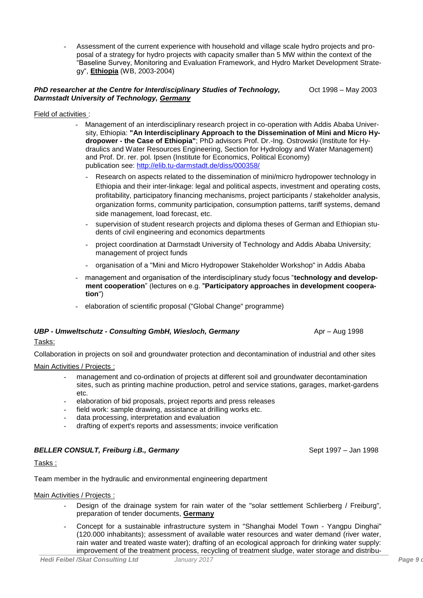- Assessment of the current experience with household and village scale hydro projects and proposal of a strategy for hydro projects with capacity smaller than 5 MW within the context of the "Baseline Survey, Monitoring and Evaluation Framework, and Hydro Market Development Strategy", **Ethiopia** (WB, 2003-2004)

#### *PhD researcher at the Centre for Interdisciplinary Studies of Technology, Darmstadt University of Technology, Germany* Oct 1998 – May 2003

### Field of activities :

- Management of an interdisciplinary research project in co-operation with Addis Ababa University, Ethiopia: **"An Interdisciplinary Approach to the Dissemination of Mini and Micro Hydropower - the Case of Ethiopia"**; PhD advisors Prof. Dr.-Ing. Ostrowski (Institute for Hydraulics and Water Resources Engineering, Section for Hydrology and Water Management) and Prof. Dr. rer. pol. Ipsen (Institute for Economics, Political Economy) publication see:<http://elib.tu-darmstadt.de/diss/000358/>
	- Research on aspects related to the dissemination of mini/micro hydropower technology in Ethiopia and their inter-linkage: legal and political aspects, investment and operating costs, profitability, participatory financing mechanisms, project participants / stakeholder analysis, organization forms, community participation, consumption patterns, tariff systems, demand side management, load forecast, etc.
	- supervision of student research projects and diploma theses of German and Ethiopian students of civil engineering and economics departments
	- project coordination at Darmstadt University of Technology and Addis Ababa University; management of project funds
	- organisation of a "Mini and Micro Hydropower Stakeholder Workshop" in Addis Ababa
- management and organisation of the interdisciplinary study focus "**technology and development cooperation**" (lectures on e.g. "**Participatory approaches in development cooperation**")
- elaboration of scientific proposal ("Global Change" programme)

# **UBP - Umweltschutz - Consulting GmbH, Wiesloch, Germany Aproperty Aproperty Aproperty Aproperty**

# Tasks:

Collaboration in projects on soil and groundwater protection and decontamination of industrial and other sites

# Main Activities / Projects :

- management and co-ordination of projects at different soil and groundwater decontamination sites, such as printing machine production, petrol and service stations, garages, market-gardens etc.
- elaboration of bid proposals, project reports and press releases
- field work: sample drawing, assistance at drilling works etc.
- data processing, interpretation and evaluation
- drafting of expert's reports and assessments; invoice verification

# **BELLER CONSULT, Freiburg i.B., Germany** Sept 1997 – Jan 1998

Tasks :

Team member in the hydraulic and environmental engineering department

# Main Activities / Projects :

- Design of the drainage system for rain water of the "solar settlement Schlierberg / Freiburg", preparation of tender documents, **Germany**
- Concept for a sustainable infrastructure system in "Shanghai Model Town Yangpu Dinghai" (120.000 inhabitants); assessment of available water resources and water demand (river water, rain water and treated waste water); drafting of an ecological approach for drinking water supply: improvement of the treatment process, recycling of treatment sludge, water storage and distribu-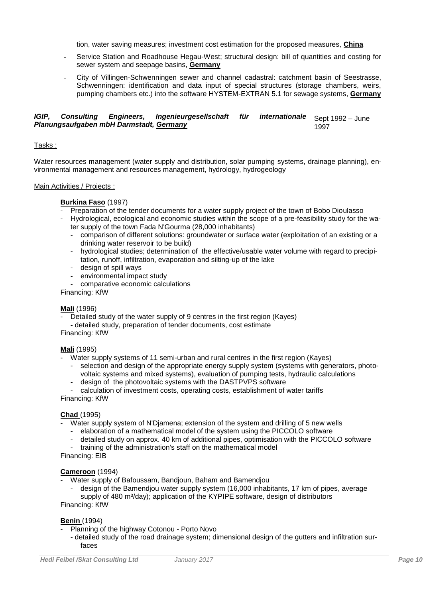tion, water saving measures; investment cost estimation for the proposed measures, **China**

- Service Station and Roadhouse Hegau-West; structural design: bill of quantities and costing for sewer system and seepage basins, **Germany**
- City of Villingen-Schwenningen sewer and channel cadastral: catchment basin of Seestrasse, Schwenningen: identification and data input of special structures (storage chambers, weirs, pumping chambers etc.) into the software HYSTEM-EXTRAN 5.1 for sewage systems, **Germany**

#### *IGIP, Consulting Engineers, Ingenieurgesellschaft für internationale Planungsaufgaben mbH Darmstadt, Germany* Sept 1992 – June 1997

### Tasks :

Water resources management (water supply and distribution, solar pumping systems, drainage planning), environmental management and resources management, hydrology, hydrogeology

### Main Activities / Projects :

### **Burkina Faso** (1997)

- Preparation of the tender documents for a water supply project of the town of Bobo Dioulasso
- Hydrological, ecological and economic studies within the scope of a pre-feasibility study for the water supply of the town Fada N'Gourma (28,000 inhabitants)
	- comparison of different solutions: groundwater or surface water (exploitation of an existing or a drinking water reservoir to be build)
	- hydrological studies; determination of the effective/usable water volume with regard to precipitation, runoff, infiltration, evaporation and silting-up of the lake
	- design of spill ways
	- environmental impact study
	- comparative economic calculations

Financing: KfW

#### **Mali** (1996)

- Detailed study of the water supply of 9 centres in the first region (Kayes)
- detailed study, preparation of tender documents, cost estimate

Financing: KfW

#### **Mali** (1995)

- Water supply systems of 11 semi-urban and rural centres in the first region (Kayes)
	- selection and design of the appropriate energy supply system (systems with generators, photovoltaic systems and mixed systems), evaluation of pumping tests, hydraulic calculations
	- design of the photovoltaic systems with the DASTPVPS software

- calculation of investment costs, operating costs, establishment of water tariffs Financing: KfW

#### **Chad** (1995)

- Water supply system of N'Djamena; extension of the system and drilling of 5 new wells
	- elaboration of a mathematical model of the system using the PICCOLO software
	- detailed study on approx. 40 km of additional pipes, optimisation with the PICCOLO software
	- training of the administration's staff on the mathematical model

Financing: EIB

#### **Cameroon** (1994)

- Water supply of Bafoussam, Bandioun, Baham and Bamendiou
	- design of the Bamendjou water supply system (16,000 inhabitants, 17 km of pipes, average supply of 480 m<sup>3</sup>/day); application of the KYPIPE software, design of distributors

Financing: KfW

#### **Benin** (1994)

- Planning of the highway Cotonou Porto Novo
	- detailed study of the road drainage system; dimensional design of the gutters and infiltration surfaces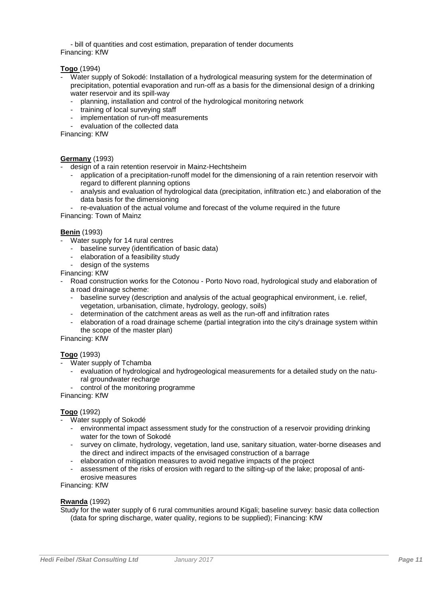- bill of quantities and cost estimation, preparation of tender documents Financing: KfW

# **Togo** (1994)

- Water supply of Sokodé: Installation of a hydrological measuring system for the determination of precipitation, potential evaporation and run-off as a basis for the dimensional design of a drinking water reservoir and its spill-way
	- planning, installation and control of the hydrological monitoring network
	- training of local surveying staff
	- implementation of run-off measurements
	- evaluation of the collected data

Financing: KfW

### **Germany** (1993)

- design of a rain retention reservoir in Mainz-Hechtsheim
	- application of a precipitation-runoff model for the dimensioning of a rain retention reservoir with regard to different planning options
	- analysis and evaluation of hydrological data (precipitation, infiltration etc.) and elaboration of the data basis for the dimensioning
- re-evaluation of the actual volume and forecast of the volume required in the future

Financing: Town of Mainz

### **Benin** (1993)

- Water supply for 14 rural centres
	- baseline survey (identification of basic data)
	- elaboration of a feasibility study
	- design of the systems

Financing: KfW

- Road construction works for the Cotonou Porto Novo road, hydrological study and elaboration of a road drainage scheme:
	- baseline survey (description and analysis of the actual geographical environment, i.e. relief, vegetation, urbanisation, climate, hydrology, geology, soils)
	- determination of the catchment areas as well as the run-off and infiltration rates
	- elaboration of a road drainage scheme (partial integration into the city's drainage system within the scope of the master plan)

Financing: KfW

# **Togo** (1993)

- Water supply of Tchamba
	- evaluation of hydrological and hydrogeological measurements for a detailed study on the natural groundwater recharge
	- control of the monitoring programme

Financing: KfW

# **Togo** (1992)

- Water supply of Sokodé
	- environmental impact assessment study for the construction of a reservoir providing drinking water for the town of Sokodé
	- survey on climate, hydrology, vegetation, land use, sanitary situation, water-borne diseases and the direct and indirect impacts of the envisaged construction of a barrage
	- elaboration of mitigation measures to avoid negative impacts of the project
	- assessment of the risks of erosion with regard to the silting-up of the lake; proposal of antierosive measures

Financing: KfW

#### **Rwanda** (1992)

Study for the water supply of 6 rural communities around Kigali; baseline survey: basic data collection (data for spring discharge, water quality, regions to be supplied); Financing: KfW